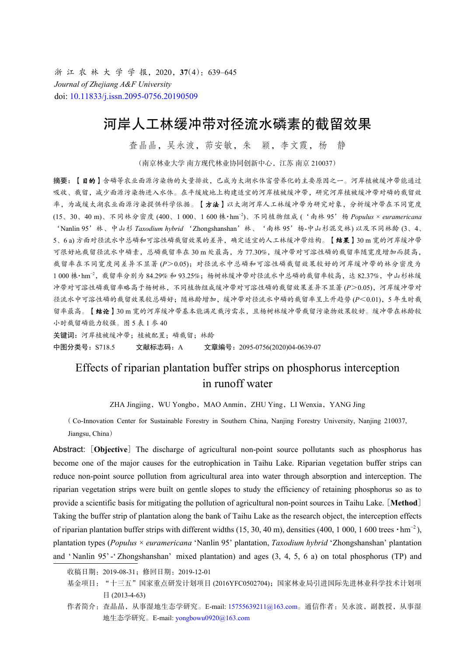浙 江 农 林 大 学 学 报, 2020, 37(4): 639-645 *Journal of Zhejiang A&F University* doi: [10.11833/j.issn.2095-0756.20190509](https://doi.org/10.11833/j.issn.2095-0756.20190509)

# 河岸人工林缓冲带对径流水磷素的截留效果

查晶晶,吴永波,茆安敏,朱 颖,李文霞,杨 静

(南京林业大学 南方现代林业协同创新中心,江苏 南京 210037)

摘要:【目的】含磷等农业面源污染物的大量排放,已成为太湖水体富营养化的主要原因之一。河岸植被缓冲带能通过 吸收、截留,减少面源污染物进入水体。在平缓坡地上构建适宜的河岸植被缓冲带,研究河岸植被缓冲带对磷的截留效 率,为减缓太湖农业面源污染提供科学依据。【方法】以太湖河岸人工林缓冲带为研究对象,分析缓冲带在不同宽度 (15、30、40 m)、不同林分密度 (400、1 000、1 600 株·hm−2)、不同植物组成 ('南林 95'杨 *Populus* × *euramericana* 'Nanlin 95'林、中山杉 *Taxodium hybrid* 'Zhongshanshan'林、'南林 95'杨-中山杉混交林) 以及不同林龄 (3、4、 5、6 a) 方面对径流水中总磷和可溶性磷截留效果的差异,确定适宜的人工林缓冲带结构。【结果】30 m 宽的河岸缓冲带 可很好地截留径流水中磷素,总磷截留率在 30 m 处最高,为 77.30%,缓冲带对可溶性磷的截留率随宽度增加而提高, 截留率在不同宽度间差异不显著 (*P*>0.05);对径流水中总磷和可溶性磷截留效果较好的河岸缓冲带的林分密度为 1 000 株·hm<sup>−2</sup>, 截留率分别为 84.29% 和 93.25%; 杨树林缓冲带对径流水中总磷的截留率较高,达 82.37%,中山杉林缓 冲带对可溶性磷截留率略高于杨树林,不同植物组成缓冲带对可溶性磷的截留效果差异不显著 (*P*>0.05),河岸缓冲带对 径流水中可溶性磷的截留效果较总磷好;随林龄增加,缓冲带对径流水中磷的截留率呈上升趋势 (*P*<0.01),5 年生时截 留率最高。【结论】30 m 宽的河岸缓冲带基本能满足截污需求,且杨树林缓冲带截留污染物效果较好。缓冲带在林龄较 小时截留磷能力较强。图 5 表 1 参 40

关键词: 河岸植被缓冲带; 植被配置; 磷截留; 林龄 中图分类号: S718.5 文献标志码: A 文章编号: 2095-0756(2020)04-0639-07

## Effects of riparian plantation buffer strips on phosphorus interception in runoff water

ZHA Jingjing, WU Yongbo, MAO Anmin, ZHU Ying, LI Wenxia, YANG Jing

( Co-Innovation Center for Sustainable Forestry in Southern China, Nanjing Forestry University, Nanjing 210037, Jiangsu, China)

Abstract: [Objective] The discharge of agricultural non-point source pollutants such as phosphorus has become one of the major causes for the eutrophication in Taihu Lake. Riparian vegetation buffer strips can reduce non-point source pollution from agricultural area into water through absorption and interception. The riparian vegetation strips were built on gentle slopes to study the efficiency of retaining phosphorus so as to provide a scientific basis for mitigating the pollution of agricultural non-point sources in Taihu Lake. [**Method**] Taking the buffer strip of plantation along the bank of Taihu Lake as the research object, the interception effects of riparian plantation buffer strips with different widths (15, 30, 40 m), densities (400, 1 000, 1 600 trees  $\cdot$ hm<sup>-2</sup>), plantation types (*Populus* × *euramericana* 'Nanlin 95' plantation, *Taxodium hybrid* 'Zhongshanshan' plantation and ' Nanlin 95' -' Zhongshanshan' mixed plantation) and ages (3, 4, 5, 6 a) on total phosphorus (TP) and

收稿日期:2019-08-31;修回日期:2019-12-01

基金项目: "十三五"国家重点研发计划项目 (2016YFC0502704); 国家林业局引进国际先进林业科学技术计划项 目 (2013-4-63)

作者简介: 查晶晶, 从事湿地生态学研究。E-mail: [15755639211@163.com](mailto:15755639211@163.com)。通信作者: 吴永波, 副教授, 从事湿 地生态学研究。E-mail: [yongbowu0920@163.com](mailto:yongbowu0920@163.com)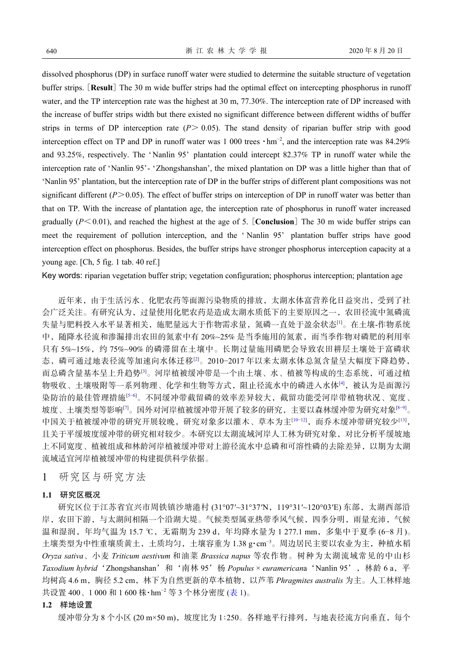dissolved phosphorus (DP) in surface runoff water were studied to determine the suitable structure of vegetation buffer strips. [**Result**] The 30 m wide buffer strips had the optimal effect on intercepting phosphorus in runoff water, and the TP interception rate was the highest at 30 m, 77.30%. The interception rate of DP increased with the increase of buffer strips width but there existed no significant difference between different widths of buffer strips in terms of DP interception rate  $(P > 0.05)$ . The stand density of riparian buffer strip with good interception effect on TP and DP in runoff water was 1 000 trees  $\cdot$ hm<sup>-2</sup>, and the interception rate was 84.29% and 93.25%, respectively. The 'Nanlin 95' plantation could intercept 82.37% TP in runoff water while the interception rate of 'Nanlin 95'- 'Zhongshanshan', the mixed plantation on DP was a little higher than that of 'Nanlin 95' plantation, but the interception rate of DP in the buffer strips of different plant compositions was not significant different  $(P>0.05)$ . The effect of buffer strips on interception of DP in runoff water was better than that on TP. With the increase of plantation age, the interception rate of phosphorus in runoff water increased gradually  $(P<0.01)$ , and reached the highest at the age of 5. [**Conclusion**] The 30 m wide buffer strips can meet the requirement of pollution interception, and the ' Nanlin 95' plantation buffer strips have good interception effect on phosphorus. Besides, the buffer strips have stronger phosphorus interception capacity at a young age. [Ch, 5 fig. 1 tab. 40 ref.]

Key words: riparian vegetation buffer strip; vegetation configuration; phosphorus interception; plantation age

近年来,由于生活污水、化肥农药等面源污染物质的排放,太湖水体富营养化日益突出,受到了社 会广泛关注。有研究认为,过量使用化肥农药是造成太湖水质低下的主要原因之一,农田径流中氮磷流 失量与肥料投入水平显著相关,施肥量远大于作物需求量,氮磷一直处于盈余状态<sup>[\[1\]](#page-4-0)</sup>。在土壤-作物系统 中,随降水径流和渗漏排出农田的氮素中有 20%~25% 是当季施用的氮素,而当季作物对磷肥的利用率 只有 5%~15%,约 75%~90% 的磷滞留在土壤中。长期过量施用磷肥会导致农田耕层土壤处于富磷状 态,磷可通过地表径流等加速向水体迁移[[2\]](#page-4-1)。2010−2017 年以来太湖水体总氮含量呈大幅度下降趋势, 而总磷含量基本呈上升趋势[\[3](#page-4-2)]。河岸植被缓冲带是一个由土壤、水、植被等构成的生态系统,可通过植 物吸收、土壤吸附等一系列物理、化学和生物等方式,阻止径流水中的磷进入水体[\[4](#page-4-3)],被认为是面源污 染防治的最佳管理措施<sup>[\[5](#page-4-4)−[6\]](#page-4-5)</sup>。不同缓冲带截留磷的效率差异较大,截留功能受河岸带植物状况、宽度、 坡度、土壤类型等影响<sup>[[7](#page-5-0)]</sup>。国外对河岸植被缓冲带开展了较多的研究,主要以森林缓冲带为研究对象<sup>[\[8](#page-5-1)−[9\]](#page-5-2)</sup>。 中国关于植被缓冲带的研究开展较晚,研究对象多以灌木、草本为主[\[10](#page-5-3)−[12](#page-5-4)],而乔木缓冲带研究较少[[13\]](#page-5-5), 且关于平缓坡度缓冲带的研究相对较少。本研究以太湖流域河岸人工林为研究对象,对比分析平缓坡地 上不同宽度、植被组成和林龄河岸植被缓冲带对上游径流水中总磷和可溶性磷的去除差异,以期为太湖 流域适宜河岸植被缓冲带的构建提供科学依据。

1 研究区与研究方法

#### **1.1** 研究区概况

研究区位于江苏省宜兴市周铁镇沙塘港村 (31°07′~31°37′N,119°31′~120°03′E) 东部,太湖西部沿 岸,农田下游,与太湖间相隔一个沿湖大堤。气候类型属亚热带季风气候,四季分明,雨量充沛,气候 温和湿润,年均气温为 15.7 ℃,无霜期为 239 d,年均降水量为 1 277.1 mm,多集中于夏季 (6−8 月)。 土壤类型为中性重壤质黄土,土质均匀,土壤容重为 1.38 g·cm−3。周边居民主要以农业为主,种植水稻 *Oryza sativa*、小麦 *Triticum aestivum* 和油菜 *Brassica napus* 等农作物。树种为太湖流域常见的中山杉 *Taxodium hybrid*'Zhongshanshan'和'南林 95'杨 *Populus* × *euramerican*a'Nanlin 95',林龄 6 a,平 均树高 4.6 m,胸径 5.2 cm,林下为自然更新的草本[植物,](#page-2-0)以芦苇 *Phragmites australis* 为主。人工林样地 共设置 400、1 000 和 1 600 株·hm<sup>-2</sup> 等 3 个林分密度 ([表](#page-2-0) [1\)](#page-2-0)。

#### **1.2** 样地设置

缓冲带分为 8 个小区 (20 m×50 m),坡度比为 1∶250。各样地平行排列,与地表径流方向垂直,每个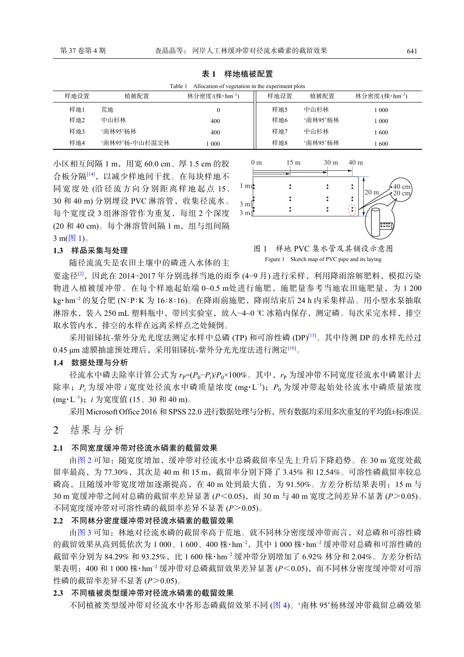<span id="page-2-0"></span>表 **1**  样地植被配置

| Allocation of vegetation in the experiment plots<br>Table 1 |                |                            |      |          |                            |
|-------------------------------------------------------------|----------------|----------------------------|------|----------|----------------------------|
| 样地设置                                                        | 植被配置           | 林分密度/(株・hm <sup>-2</sup> ) | 样地设置 | 植被配置     | 林分密度/(株・hm <sup>-2</sup> ) |
| 样地1                                                         | 荒地             |                            | 样地5  | 中山杉林     | 1 000                      |
| 样地2                                                         | 中山杉林           | 400                        | 样地6  | '南林95'杨林 | 1 000                      |
| 样地3                                                         | '南林95'杨林       | 400                        | 样地7  | 中山杉林     | l 600                      |
| 样地4                                                         | '南林95'杨-中山杉混交林 | 1000                       | 样地8  | '南林95'杨林 | -600                       |

小区相互间隔 1 m, 用宽 60.0 cm、厚 1.5 cm 的胶 合板分隔[[14\]](#page-5-6),以减少样地间干扰。在每块样地不 同宽度处 (沿径流方向分别距离样地起点 15、 30 和 40 m) 分别埋设 PVC 淋溶管, 收集径流水。 每个宽度设 3 组淋溶管作为重复,每组 2 个深度 (20 和 40 cm)。每个淋溶管间隔 1 m, 组与组间隔  $3 \text{ m}(\boxed{8} 1)$  $3 \text{ m}(\boxed{8} 1)$  $3 \text{ m}(\boxed{8} 1)$ 。

<span id="page-2-1"></span>

#### **1.3** 样品采集与处理

随径流流失是农田土壤中的磷进入水体的主

图 1 样地 PVC 集水管及其铺设示意图 Figure 1 Sketch map of PVC pipe and its laying

要途径<sup>[\[2](#page-4-1)]</sup>,因此在 2014-2017年分别选择当地的雨季 (4-9月) 进行采样, 利用降雨溶解肥料, 模拟污染 物进入植被缓冲带。在每个样地起始端 0~0.5 m处进行施肥, 施肥量参考当地农田施肥量, 为 1 200 kg·hm<sup>−2</sup> 的复合肥 (N∶P∶K 为 16∶8∶16)。在降雨前施肥,降雨结束后 24 h 内采集样品。用小型水泵抽取 淋溶水, 装入 250 mL 塑料瓶中, 带回实验室, 放入−4~0 ℃ 冰箱内保存, 测定磷。每次采完水样, 排空 取水管内水,排空的水样在远离采样点之处倾倒。

采用钼锑抗-紫外分光光度法测定水样中总磷 (TP) 和可溶性磷 (DP)[[15\]](#page-5-7)。其中待测 DP 的水样先经过 0.45 μm 滤膜抽滤预处理后,采用钼锑抗-紫外分光光度法进行测定[[16\]](#page-5-8)。

**1.4** 数据处理与分析

径流水中磷去除率计算公式为 *r*բ=(*P*<sub>0</sub>−*P*<sub>i</sub>)/*P*<sub>0</sub>×100%。其中, *r*p 为缓冲带不同宽度径流水中磷累计去 除率; *P*<sub>i</sub> 为缓冲带 *i* 宽度处径流水中磷质量浓度 (mg·L<sup>-1</sup>); *P*<sub>0</sub> 为缓冲带起始处径流水中磷质量浓度 (mg·L −1);*i* 为宽度值 (15、30 和 40 m)。

采用 Microsoft Office 2016 和 SPSS 22.0 进行数据处理与分析, 所有数据均采用多次重复的平均值±标准误。

2 结果与分析

#### **2.1** 不同宽度缓冲带对径流水磷素的截留效果

由[图](#page-3-0) [2](#page-3-0) 可知:随宽度增加,缓冲带对径流水中总磷截留率呈先上升后下降趋势。在 30 m 宽度处截 留率最高,为77.30%,其次是 40 m 和 15 m,截留率分别下降了 3.45% 和 12.54%。可溶性磷截留率较总 磷高,且随缓冲带宽度增加逐渐提高, 在 40 m 处到最大值, 为 91.50%。方差分析结果表明: 15 m 与 30 m 宽缓冲带之间对总磷的截留率差异显著 (*P*<0.05), 而 30 m 与 40 m 宽度之间差异不显著 (*P*>0.05)。 不同宽度缓冲带对可溶性磷的截留率差异不显著 (*P*>0.05)。

#### **2.2** 不同林分密度缓冲带对径流水磷素的截留效果

[由图](#page-3-1) [3](#page-3-1) 可知:林地对径流水磷的截留率高于荒地。就不同林分密度缓冲带而言,对总磷和可溶性磷 的截留效果从高到低依次为 1 000、1 600、400 株·hm−2,其中 1 000 株·hm−2 缓冲带对总磷和可溶性磷的 截留率分别为 84.29% 和 93.25%, 比 1 600 株·hm<sup>−2</sup> 缓冲带分别增加了 6.92% 林分和 2.04%。方差分析结 果表明: 400 和 1 000 株·hm<sup>−2</sup> 缓冲带对总磷截留效果差异显著 (*P*<0.05),而不同林分密度缓冲带对可溶 性磷的截留率差异不显著 (*P*>0.05)。

#### **2.3** 不同植被类型缓冲带对径流水磷素的截留效果

不同植被类型缓冲带对径流水中各形态磷截留效果不同 ([图](#page-3-2) [4\)](#page-3-2)。'南林 95'杨林缓冲带截留总磷效果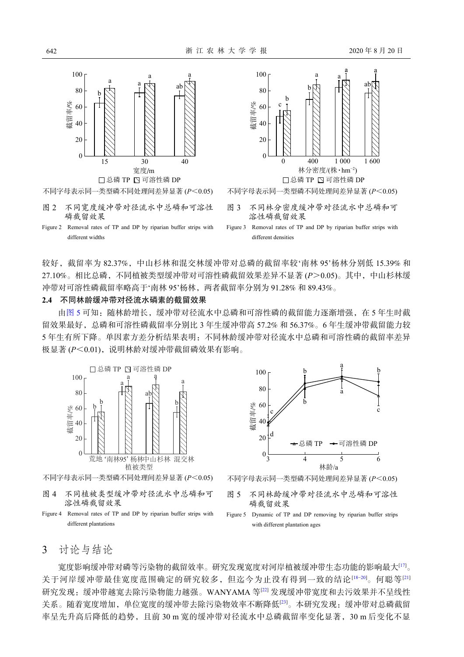<span id="page-3-0"></span>

<span id="page-3-1"></span>

Figure 2 Removal rates of TP and DP by riparian buffer strips with different widths

图 2 不同宽度缓冲带对径流水中总磷和可溶性

磷截留效果

较好,截留率为 82.37%,中山杉林和混交林缓冲带对总磷的截留率较'南林 95'杨林分别低 15.39% 和 27.10%。相比总磷,不同植被类型缓冲带对可溶性磷截留效果差异不显著 (*P*>0.05)。其中,中山杉林缓 冲带对可溶性磷截留率略高于'南林 95'杨林,两者截留率分别为 91.28% 和 89.43%。

#### **2.4** 不同林龄缓冲带对径流水磷素的截留效果

由[图](#page-3-3) [5](#page-3-3) 可知:随林龄增长,缓冲带对径流水中总磷和可溶性磷的截留能力逐渐增强,在 5 年生时截 留效果最好,总磷和可溶性磷截留率分别比 3 年生缓冲带高 57.2% 和 56.37%。6 年生缓冲带截留能力较 5 年生有所下降。单因素方差分析结果表明:不同林龄缓冲带对径流水中总磷和可溶性磷的截留率差异 极显著 ( $P < 0.01$ ), 说明林龄对缓冲带截留磷效果有影响。

<span id="page-3-2"></span>

- 图 4 不同植被类型缓冲带对径流水中总磷和可 溶性磷截留效果
- Figure 4 Removal rates of TP and DP by riparian buffer strips with different plantations

<span id="page-3-3"></span>

不同字母表示同一类型磷不同处理间差异显著 (*P*<0.05)

- 图 5 不同林龄缓冲带对径流水中总磷和可溶性 磷截留效果
- Figure 5 Dynamic of TP and DP removing by riparian buffer strips with different plantation ages

### 3 讨论与结论

宽度影响缓冲带对磷等污染物的截留效率。研究发现宽度对河岸植被缓冲带生态功能的影响最大[[17\]](#page-5-9)。 关于河岸缓冲带最佳宽度范围确定的研究较多,但迄今为止没有得到一致的结论[\[18−](#page-5-10)[20](#page-5-11)]。何聪等[[21](#page-5-12)] 研究发现:缓冲带越宽去除污染物能力越强。WANYAMA 等[[22\]](#page-6-0) 发现缓冲带宽度和去污效果并不呈线性 关系。随着宽度增加,单位宽度的缓冲带去除污染物效率不断降低[\[23](#page-6-1)]。本研究发现:缓冲带对总磷截留 率呈先升高后降低的趋势,且前 30 m 宽的缓冲带对径流水中总磷截留率变化显著,30 m 后变化不显

different densities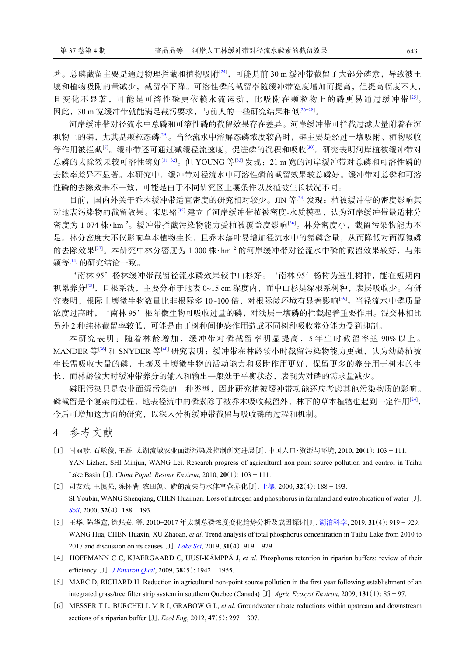著。总磷截留主要是通过物理拦截和植物吸附<sup>[\[24\]](#page-6-2)</sup>,可能是前 30 m 缓冲带截留了大部分磷素, 导致被土 壤和植物吸附的量减少,截留率下降。可溶性磷的截留率随缓冲带宽度增加而提高,但提高幅度不大, 且变化不显著,可能是可溶性磷更依赖水流运动,比吸附在颗粒物上的磷更易通过缓冲带[[25](#page-6-3)]。 因此,30 m 宽缓冲带就能满足截污要求,与前人的一些研究结果相似[\[26−](#page-6-4)[28](#page-6-5)]。

河岸缓冲带对径流水中总磷和可溶性磷的截留效果存在差异。河岸缓冲带可拦截过滤大量附着在沉 积物上的磷,尤其是颗粒态磷[\[29](#page-6-6)]。当径流水中溶解态磷浓度较高时,磷主要是经过土壤吸附、植物吸收 等作用被拦截<sup>[[7\]](#page-5-0)</sup>。缓冲带还可通过减缓径流速度,促进磷的沉积和吸收<sup>[\[30\]](#page-6-7)</sup>。研究表明河岸植被缓冲带对 总磷的去除效果较可溶性磷好[31-[32](#page-6-9)]。但 YOUNG 等[[33\]](#page-6-10) 发现: 21 m 宽的河岸缓冲带对总磷和可溶性磷的 去除率差异不显著。本研究中,缓冲带对径流水中可溶性磷的截留效果较总磷好。缓冲带对总磷和可溶 性磷的去除效果不一致,可能是由于不同研究区土壤条件以及植被生长状况不同。

目前,国内外关于乔木缓冲带适宜密度的研究相对较少。JIN 等<sup>[[34\]](#page-6-11)</sup> 发现: 植被缓冲带的密度影响其 对地表污染物的截留效果。宋思铭[[35\]](#page-6-12) 建立了河岸缓冲带植被密度-水质模型, 认为河岸缓冲带最适林分 密度为 1 074 株·hm<sup>−2</sup>。缓冲带拦截污染物能力受植被覆盖度影响<sup>[[36\]](#page-6-13)</sup>。林分密度小,截留污染物能力不 足。林分密度大不仅影响草本植物生长,且乔木落叶易增加径流水中的氮磷含量,从而降低对面源氮磷 的去除效果<sup>[[37](#page-6-14)]</sup>。本研究中林分密度为 1 000 株·hm<sup>-2</sup> 的河岸缓冲带对径流水中磷的截留效果较好, 与朱 颖等[\[14](#page-5-6)] 的研究结论一致。

'南林 95'杨林缓冲带截留径流水磷效果较中山杉好。'南林 95'杨树为速生树种,能在短期内 积累养分<sup>[\[38\]](#page-6-15)</sup>,且根系浅,主要分布于地表 0~15 cm 深度内,而中山杉是深根系树种,表层吸收少。有研 究表明,根际土壤微生物数量比非根际多 10~100 倍, 对根际微环境有显著影响<sup>[\[39](#page-6-16)]</sup>。当径流水中磷质量 浓度过高时, '南林 95'根际微生物可吸收过量的磷, 对浅层土壤磷的拦截起着重要作用。混交林相比 另外 2 种纯林截留率较低,可能是由于树种间他感作用造成不同树种吸收养分能力受到抑制。

本研究表明:随着林龄增加,缓冲带对磷截留率明显提高,5 年生时截留率达 90% 以上。 MANDER 等<sup>[\[36](#page-6-13)]</sup> 和 SNYDER 等<sup>[[40\]](#page-6-17)</sup> 研究表明: 缓冲带在林龄较小时截留污染物能力更强, 认为幼龄植被 生长需吸收大量的磷,土壤及土壤微生物的活动能力和吸附作用更好,保留更多的养分用于树木的生 长,而林龄较大时缓冲带养分的输入和输出一般处于平衡状态,表现为对磷的需求量减少。

磷肥污染只是农业面源污染的一种类型,因此研究植被缓冲带功能还应考虑其他污染物质的影响。 磷截留是个复杂的过程,地表径流中的磷素除了被乔木吸收截留外,林下的草本植物也起到一定作用[[24](#page-6-2)], 今后可增加这方面的研究,以深入分析缓冲带截留与吸收磷的过程和机制。

- 4 参考文献
- <span id="page-4-0"></span>[1] 闫丽珍, 石敏俊, 王磊. 太湖流域农业面源污染及控制研究进展[J]. 中国人口·资源与环境, 2010, **20**(1): 103 − 111. YAN Lizhen, SHI Minjun, WANG Lei. Research progress of agricultural non-point source pollution and control in Taihu Lake Basin [J]. *China Popul Resour Environ*, 2010, **20**(1): 103 − [111.](https://doi.org/10.3321/j.issn:0253-9829.2000.04.005)
- <span id="page-4-1"></span>[2] 司友斌, 王慎强, 陈怀满. 农田氮、磷的流失与水体富营养化[J]. [土壤](https://doi.org/10.3321/j.issn:0253-9829.2000.04.005), 2000, **32**(4): 188 − 193. [SI Y](https://doi.org/10.3321/j.issn:0253-9829.2000.04.005)oubin, WANG Shenqiang, CHEN Huaiman. Loss of nitrogen and phosphorus in farmland and eutrophication of water [J]. *[Soil](https://doi.org/10.3321/j.issn:0253-9829.2000.04.005)*, 2000, **32**(4): 188 − 193.
- <span id="page-4-2"></span>[3] 王华, 陈华鑫, 徐兆安, 等. 2010−2017 年太湖总磷浓度变化趋势分析及成因探讨[J]. [湖泊科学](https://doi.org/10.18307/2019.0421), 2019, **31**(4): 919 − 929. WANG Hua, CHEN Huaxin, XU Zhaoan, *[et al](https://doi.org/10.18307/2019.0421)*. Trend analysis of total phosphorus concentration in Taihu Lake from 2010 to 2017 and discussion on its causes [J]. *[Lake Sci](https://doi.org/10.18307/2019.0421)*, 2019, **31**(4): 919 − 929.
- <span id="page-4-3"></span>[4] HOFFMANN [C C, KJAERGA](https://doi.org/10.2134/jeq2008.0087)ARD C, UUSI-KÄMPPÄ J, *et al*. Phosphorus retention in riparian buffers: review of their efficiency [J]. *[J Environ Qual](https://doi.org/10.2134/jeq2008.0087)*, 2009, **38**(5): 1942 − 1955.
- <span id="page-4-4"></span>[5] MARC D, RICHARD H. Reduction in agricultural non-point source pollution in the first year following establishment of an integrated grass/tree filter strip system in southern Quebec (Canada) [J]. *Agric Ecosyst Environ*, 2009, **131**(1): 85 − 97.
- <span id="page-4-5"></span>[6] MESSER T L, BURCHELL M R I, GRABOW G L, *et al*. Groundwater nitrate reductions within upstream and downstream sections of a riparian buffer [J]. *Ecol Eng*, 2012, **47**(5): 297 − 307.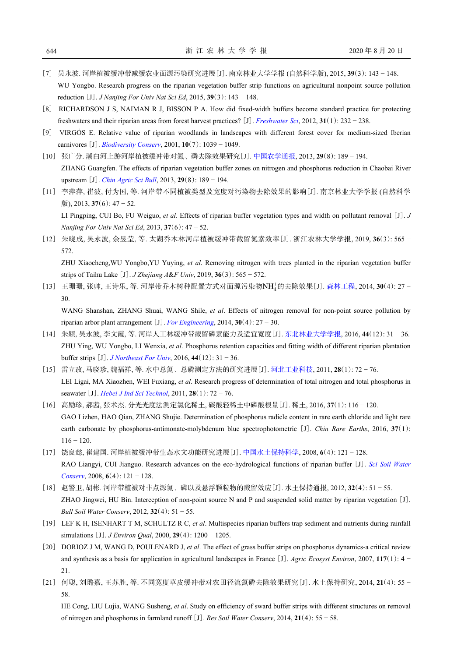- <span id="page-5-0"></span>[7] 吴永波. 河岸植被缓冲带减缓农业面源污染研究进展[J]. 南京林业大学学报 (自然科学版), 2015, **39**(3): 143 − 148. WU Yongbo. Research progress on the riparian vegetation buffer strip functions on agricultural nonpoint source pollution reduction [J]. *J Nanjing For Univ Nat Sci Ed*, 2015, **39**(3): 143 − 148.
- <span id="page-5-1"></span>[8] RICHARDSON J S, NAIMAN R J, BISSON P A. How did fixed-width buffers become standard practice for protecting freshwaters and their riparian areas from forest harvest practices? [J]. *[Freshwater Sci](https://doi.org/10.1899/11-031.1)*, 2012, **31**(1): 232 − 238.
- <span id="page-5-2"></span>[9] VIRGÓS E. Relative value of riparian woodlands in landscapes with different forest cover for medium-sized Iberian carnivores [J]. *[Biodiversity Conserv](https://doi.org/10.1023/A:1016684428664)*, 2001, **10**(7): 1039 − 1049.
- <span id="page-5-3"></span>[10] 张广分. 潮白河上游河岸植被缓冲带对氮、磷去除效果研究[J]. [中国农学通报](https://doi.org/10.3969/j.issn.1000-6850.2013.08.036), 2013, **29**(8): 189 − 194. ZHANG Guangfen. The effects of riparian vegetation buffer zones on nitrogen and phosphorus reduction in Chaobai River upstream [J]. *[Chin Agric Sci Bull](https://doi.org/10.3969/j.issn.1000-6850.2013.08.036)*, 2013, **29**(8): 189 − 194.
- [11] 李萍萍, 崔波, 付为国, 等. 河岸带不同植被类型及宽度对污染物去除效果的影响[J]. 南京林业大学学报 (自然科学 版), 2013, **37**(6): 47 − 52. LI Pingping, CUI Bo, FU Weiguo, *et al*. Effects of riparian buffer vegetation types and width on pollutant removal [J]. *J*

*Nanjing For Univ Nat Sci Ed*, 2013, **37**(6): 47 − 52.

<span id="page-5-4"></span>[12] 朱晓成, 吴永波, 余昱莹, 等. 太湖乔木林河岸植被缓冲带截留氮素效率[J]. 浙江农林大学学报, 2019, **36**(3): 565 − 572. ZHU Xiaocheng,WU Yongbo,YU Yuying, *et al*. Removing nitrogen with trees planted in the riparian vegetation buffer

strips of Taihu Lake [J]. *J Zhejiang A*&*F Univ*, 2019, **36**(3): 565 − 572.

<span id="page-5-5"></span>[13] 王珊珊, 张帅, 王诗乐, 等. 河岸带乔木树种配置方式对面源污染物NH<sup>+</sup>的去除效果[J]. [森林工程](https://doi.org/10.3969/j.issn.1001-005X.2014.04.005), 2014, 30(4): 27 − 30.

WANG Shanshan, ZHANG Shuai, WANG Shile, *et al.* Effects of nitrogen removal for non-point source pollution by riparian arbor plant arrangement [J]. *[For Engineering](https://doi.org/10.3969/j.issn.1001-005X.2014.04.005)*, 2014, **30**(4):  $27 - 30$ .

- <span id="page-5-6"></span>[14] 朱颖, 吴永波, 李文霞, 等. 河岸人工林缓冲带截留磷素能力及适宜宽度[J]. [东北林业大学学报](https://doi.org/10.3969/j.issn.1000-5382.2016.12.007), 2016, **44**(12): 31 − 36. ZHU Ying, WU Yongbo, LI Wenxia, *et al*. Phosphorus retention capacities and fitting width of different riparian plantation buffer strips [J]. *[J Northeast For Univ](https://doi.org/10.3969/j.issn.1000-5382.2016.12.007)*, 2016, **44**(12): 31 − 36.
- <span id="page-5-7"></span>[15] 雷立改, 马晓珍, 魏福祥, 等. 水中总氮、总磷测定方法的研究进展[J]. [河北工业科技](https://doi.org/10.7535/hbgykj.2011yx01019), 2011, **28**(1): 72 − 76. LEI Ligai, MA Xiaozhen, WEI Fuxiang, *et al*. Research progress of determination of total nitrogen and total phosphorus in seawater [J]. *[Hebei J Ind Sci Technol](https://doi.org/10.7535/hbgykj.2011yx01019)*, 2011, **28**(1): 72 − 76.
- <span id="page-5-8"></span>[16] 高励珍, 郝茜, 张术杰. 分光光度法测定氯化稀土, 碳酸轻稀土中磷酸根量[J]. 稀土, 2016, **37**(1): 116 − 120. GAO Lizhen, HAO Qian, ZHANG Shujie. Determination of phosphorus radicle content in rare earth chloride and light rare earth carbonate by phosphorus-antimonate-molybdenum blue spectrophotometric [J]. *Chin Rare Earths*, 2016, 37(1):  $116 - 120$ .
- <span id="page-5-9"></span>[17] 饶良懿, 崔建国. 河岸植被缓冲带生态水文功能研究进展[J]. [中国水土保持科学](https://doi.org/10.3969/j.issn.1672-3007.2008.04.022), 2008, **6**(4): 121 − 128. RAO Liangyi, CUI Jianguo. Research advances on the eco-hydrological functions of riparian buffer [J]. *[Sci Soil Water](https://doi.org/10.3969/j.issn.1672-3007.2008.04.022) [Conserv](https://doi.org/10.3969/j.issn.1672-3007.2008.04.022)*, 2008, **6**(4): 121 − 128.
- <span id="page-5-10"></span>[18] 赵警卫, 胡彬. 河岸带植被对非点源氮、磷以及悬浮颗粒物的截留效应[J]. 水土保持通报, 2012, **32**(4): 51 − 55. ZHAO Jingwei, HU Bin. Interception of non-point source N and P and suspended solid matter by riparian vegetation [J]. *Bull Soil Water Conserv*, 2012, **32**(4): 51 − 55.
- [19] LEF K H, ISENHART T M, SCHULTZ R C, *et al*. Multispecies riparian buffers trap sediment and nutrients during rainfall simulations [J]. *J Environ Qual*, 2000, **29**(4): 1200 − 1205.
- <span id="page-5-11"></span>[20] DORIOZ J M, WANG D, POULENARD J, *et al*. The effect of grass buffer strips on phosphorus dynamics-a critical review and synthesis as a basis for application in agricultural landscapes in France [J]. *Agric Ecosyst Environ*, 2007, **117**(1): 4 − 21.
- <span id="page-5-12"></span>[21] 何聪, 刘璐嘉, 王苏胜, 等. 不同宽度草皮缓冲带对农田径流氮磷去除效果研究[J]. 水土保持研究, 2014, **21**(4): 55 − 58.

HE Cong, LIU Lujia, WANG Susheng, *et al*. Study on efficiency of sward buffer strips with different structures on removal of nitrogen and phosphorus in farmland runoff [J]. *Res Soil Water Conserv*, 2014, **21**(4): 55 − 58.